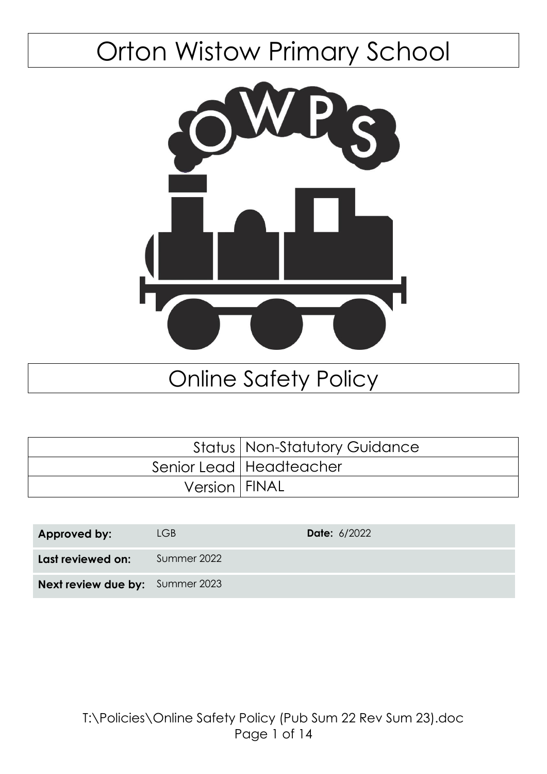# Orton Wistow Primary School



## Online Safety Policy

|                 | <b>Status   Non-Statutory Guidance</b> |
|-----------------|----------------------------------------|
|                 | Senior Lead   Headteacher              |
| Version   FINAL |                                        |

| Approved by:                           | LGB         | <b>Date: 6/2022</b> |
|----------------------------------------|-------------|---------------------|
| Last reviewed on:                      | Summer 2022 |                     |
| <b>Next review due by:</b> Summer 2023 |             |                     |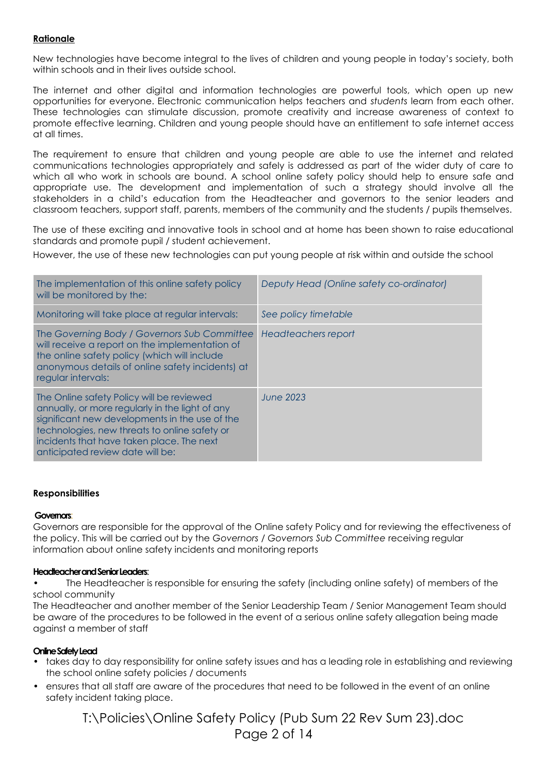### **Rationale**

New technologies have become integral to the lives of children and young people in today's society, both within schools and in their lives outside school.

The internet and other digital and information technologies are powerful tools, which open up new opportunities for everyone. Electronic communication helps teachers and *students* learn from each other. These technologies can stimulate discussion, promote creativity and increase awareness of context to promote effective learning. Children and young people should have an entitlement to safe internet access at all times.

The requirement to ensure that children and young people are able to use the internet and related communications technologies appropriately and safely is addressed as part of the wider duty of care to which all who work in schools are bound. A school online safety policy should help to ensure safe and appropriate use. The development and implementation of such a strategy should involve all the stakeholders in a child's education from the Headteacher and governors to the senior leaders and classroom teachers, support staff, parents, members of the community and the students / pupils themselves.

The use of these exciting and innovative tools in school and at home has been shown to raise educational standards and promote pupil / student achievement.

However, the use of these new technologies can put young people at risk within and outside the school

| The implementation of this online safety policy<br>will be monitored by the:                                                                                                                                                                                                     | Deputy Head (Online safety co-ordinator) |
|----------------------------------------------------------------------------------------------------------------------------------------------------------------------------------------------------------------------------------------------------------------------------------|------------------------------------------|
| Monitoring will take place at regular intervals:                                                                                                                                                                                                                                 | See policy timetable                     |
| The Governing Body / Governors Sub Committee<br>will receive a report on the implementation of<br>the online safety policy (which will include<br>anonymous details of online safety incidents) at<br>regular intervals:                                                         | Headteachers report                      |
| The Online safety Policy will be reviewed<br>annually, or more regularly in the light of any<br>significant new developments in the use of the<br>technologies, new threats to online safety or<br>incidents that have taken place. The next<br>anticipated review date will be: | June 2023                                |

#### **Responsibilities**

#### **Governors**:

Governors are responsible for the approval of the Online safety Policy and for reviewing the effectiveness of the policy. This will be carried out by the *Governors / Governors Sub Committee* receiving regular information about online safety incidents and monitoring reports

#### **Headteacher and Senior Leaders**:

• The Headteacher is responsible for ensuring the safety (including online safety) of members of the school community

The Headteacher and another member of the Senior Leadership Team / Senior Management Team should be aware of the procedures to be followed in the event of a serious online safety allegation being made against a member of staff

### **Online Safety Lead**

- takes day to day responsibility for online safety issues and has a leading role in establishing and reviewing the school online safety policies / documents
- ensures that all staff are aware of the procedures that need to be followed in the event of an online safety incident taking place.

T:\Policies\Online Safety Policy (Pub Sum 22 Rev Sum 23).doc Page 2 of 14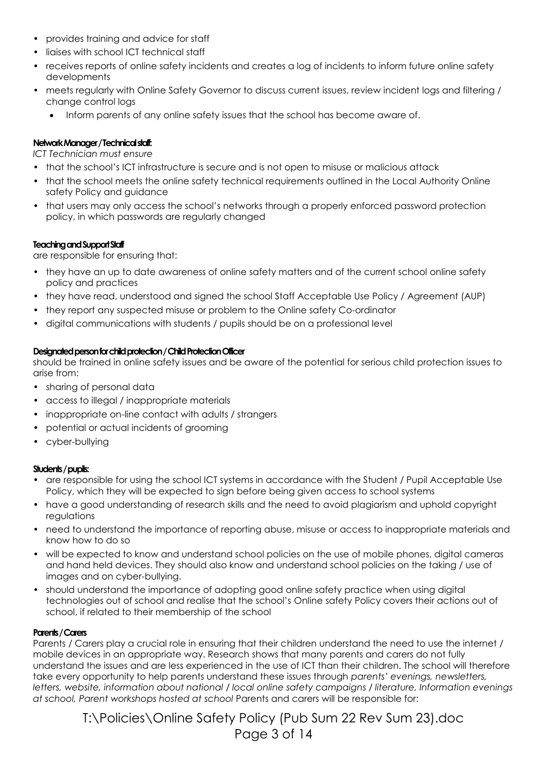- provides training and advice for staff
- liaises with school ICT technical staff
- receives reports of online safety incidents and creates a log of incidents to inform future online safety developments
- meets regularly with Online Safety Governor to discuss current issues, review incident logs and filtering / change control logs
	- Inform parents of any online safety issues that the school has become aware of.

#### **Network Manager / Technical staff:**

*ICT Technician must ensure* 

- **•** that the school's ICT infrastructure is secure and is not open to misuse or malicious attack
- that the school meets the online safety technical requirements outlined in the Local Authority Online safety Policy and guidance
- that users may only access the school's networks through a properly enforced password protection policy, in which passwords are regularly changed

#### **Teaching and Support Staff**

are responsible for ensuring that:

- they have an up to date awareness of online safety matters and of the current school online safety policy and practices
- they have read, understood and signed the school Staff Acceptable Use Policy / Agreement (AUP)
- they report any suspected misuse or problem to the Online safety Co-ordinator
- digital communications with students / pupils should be on a professional level

#### **Designated person for child protection / Child Protection Officer**

should be trained in online safety issues and be aware of the potential for serious child protection issues to arise from:

- sharing of personal data
- access to illegal / inappropriate materials
- inappropriate on-line contact with adults / strangers
- potential or actual incidents of grooming
- cyber-bullying

#### **Students / pupils:**

- **•** are responsible for using the school ICT systems in accordance with the Student / Pupil Acceptable Use Policy, which they will be expected to sign before being given access to school systems
- have a good understanding of research skills and the need to avoid plagiarism and uphold copyright regulations
- need to understand the importance of reporting abuse, misuse or access to inappropriate materials and know how to do so
- will be expected to know and understand school policies on the use of mobile phones, digital cameras and hand held devices. They should also know and understand school policies on the taking / use of images and on cyber-bullying.
- should understand the importance of adopting good online safety practice when using digital technologies out of school and realise that the school's Online safety Policy covers their actions out of school, if related to their membership of the school

#### **Parents / Carers**

Parents / Carers play a crucial role in ensuring that their children understand the need to use the internet / mobile devices in an appropriate way. Research shows that many parents and carers do not fully understand the issues and are less experienced in the use of ICT than their children. The school will therefore take every opportunity to help parents understand these issues through *parents' evenings, newsletters, letters, website, information about national / local online safety campaigns / literature, Information evenings at school, Parent workshops hosted at school* Parents and carers will be responsible for:

> T:\Policies\Online Safety Policy (Pub Sum 22 Rev Sum 23).doc Page 3 of 14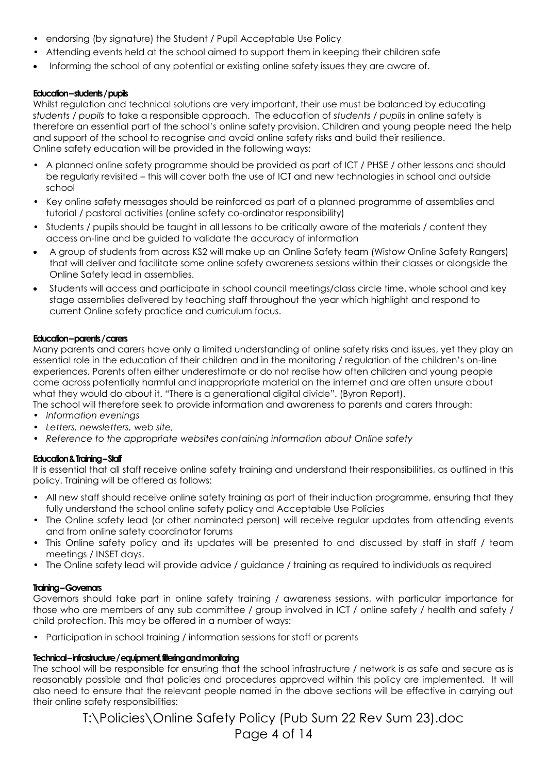- **•** endorsing (by signature) the Student / Pupil Acceptable Use Policy
- Attending events held at the school aimed to support them in keeping their children safe
- Informing the school of any potential or existing online safety issues they are aware of.

#### **Education –students / pupils**

Whilst regulation and technical solutions are very important, their use must be balanced by educating *students / pupils* to take a responsible approach. The education of *students / pupils* in online safety is therefore an essential part of the school's online safety provision. Children and young people need the help and support of the school to recognise and avoid online safety risks and build their resilience. Online safety education will be provided in the following ways:

- A planned online safety programme should be provided as part of ICT / PHSE / other lessons and should be regularly revisited – this will cover both the use of ICT and new technologies in school and outside school
- Key online safety messages should be reinforced as part of a planned programme of assemblies and tutorial / pastoral activities (online safety co-ordinator responsibility)
- Students / pupils should be taught in all lessons to be critically aware of the materials / content they access on-line and be guided to validate the accuracy of information
- A group of students from across KS2 will make up an Online Safety team (Wistow Online Safety Rangers) that will deliver and facilitate some online safety awareness sessions within their classes or alongside the Online Safety lead in assemblies.
- Students will access and participate in school council meetings/class circle time, whole school and key stage assemblies delivered by teaching staff throughout the year which highlight and respond to current Online safety practice and curriculum focus.

#### **Education –parents / carers**

Many parents and carers have only a limited understanding of online safety risks and issues, yet they play an essential role in the education of their children and in the monitoring / regulation of the children's on-line experiences. Parents often either underestimate or do not realise how often children and young people come across potentially harmful and inappropriate material on the internet and are often unsure about what they would do about it. "There is a generational digital divide". (Byron Report).

The school will therefore seek to provide information and awareness to parents and carers through:

- *Information evenings*
- *• Letters, newsletters, web site,*
- *• Reference to the appropriate websites containing information about Online safety*

### **Education & Training –Staff**

It is essential that all staff receive online safety training and understand their responsibilities, as outlined in this policy. Training will be offered as follows:

- All new staff should receive online safety training as part of their induction programme, ensuring that they fully understand the school online safety policy and Acceptable Use Policies
- The Online safety lead (or other nominated person) will receive regular updates from attending events and from online safety coordinator forums
- This Online safety policy and its updates will be presented to and discussed by staff in staff / team meetings / INSET days.
- The Online safety lead will provide advice / guidance / training as required to individuals as required

### **Training –Governors**

Governors should take part in online safety training / awareness sessions, with particular importance for those who are members of any sub committee / group involved in ICT / online safety / health and safety / child protection. This may be offered in a number of ways:

• Participation in school training / information sessions for staff or parents

### **Technical –infrastructure / equipment, filtering and monitoring**

The school will be responsible for ensuring that the school infrastructure / network is as safe and secure as is reasonably possible and that policies and procedures approved within this policy are implemented. It will also need to ensure that the relevant people named in the above sections will be effective in carrying out their online safety responsibilities:

> T:\Policies\Online Safety Policy (Pub Sum 22 Rev Sum 23).doc Page 4 of 14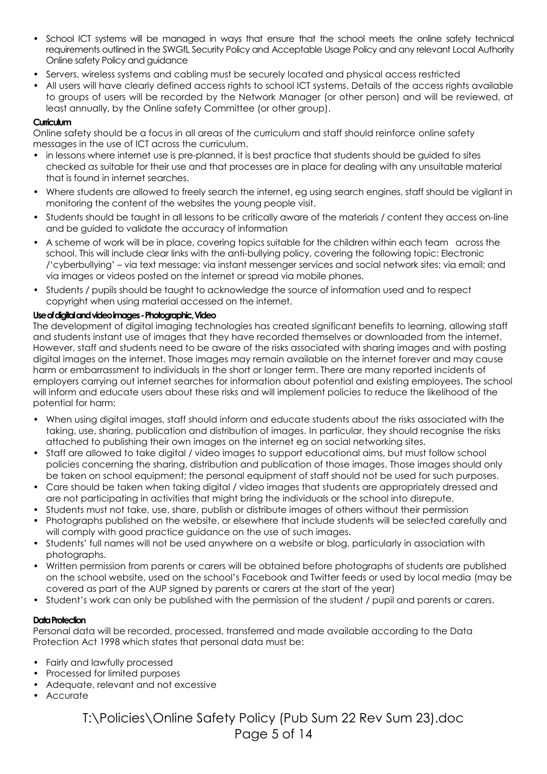- School ICT systems will be managed in ways that ensure that the school meets the online safety technical requirements outlined in the SWGfL Security Policy and Acceptable Usage Policy and any relevant Local Authority Online safety Policy and guidance
- Servers, wireless systems and cabling must be securely located and physical access restricted
- All users will have clearly defined access rights to school ICT systems. Details of the access rights available to groups of users will be recorded by the Network Manager (or other person) and will be reviewed, at least annually, by the Online safety Committee (or other group).

### **Curriculum**

Online safety should be a focus in all areas of the curriculum and staff should reinforce online safety messages in the use of ICT across the curriculum.

- in lessons where internet use is pre-planned, it is best practice that students should be guided to sites checked as suitable for their use and that processes are in place for dealing with any unsuitable material that is found in internet searches.
- Where students are allowed to freely search the internet, eg using search engines, staff should be vigilant in monitoring the content of the websites the young people visit.
- Students should be taught in all lessons to be critically aware of the materials / content they access on-line and be guided to validate the accuracy of information
- A scheme of work will be in place, covering topics suitable for the children within each team across the school. This will include clear links with the anti-bullying policy, covering the following topic: Electronic /'cyberbullying' – via text message; via instant messenger services and social network sites; via email; and via images or videos posted on the internet or spread via mobile phones.
- Students / pupils should be taught to acknowledge the source of information used and to respect copyright when using material accessed on the internet.

### **Use of digital and video images -Photographic, Video**

The development of digital imaging technologies has created significant benefits to learning, allowing staff and students instant use of images that they have recorded themselves or downloaded from the internet. However, staff and students need to be aware of the risks associated with sharing images and with posting digital images on the internet. Those images may remain available on the internet forever and may cause harm or embarrassment to individuals in the short or longer term. There are many reported incidents of employers carrying out internet searches for information about potential and existing employees. The school will inform and educate users about these risks and will implement policies to reduce the likelihood of the potential for harm:

- **•** When using digital images, staff should inform and educate students about the risks associated with the taking, use, sharing, publication and distribution of images. In particular, they should recognise the risks attached to publishing their own images on the internet eg on social networking sites.
- Staff are allowed to take digital / video images to support educational aims, but must follow school policies concerning the sharing, distribution and publication of those images. Those images should only be taken on school equipment; the personal equipment of staff should not be used for such purposes.
- Care should be taken when taking digital / video images that students are appropriately dressed and are not participating in activities that might bring the individuals or the school into disrepute.
- Students must not take, use, share, publish or distribute images of others without their permission
- Photographs published on the website, or elsewhere that include students will be selected carefully and will comply with good practice guidance on the use of such images.
- Students' full names will not be used anywhere on a website or blog, particularly in association with photographs.
- Written permission from parents or carers will be obtained before photographs of students are published on the school website, used on the school's Facebook and Twitter feeds or used by local media (may be covered as part of the AUP signed by parents or carers at the start of the year)
- Student's work can only be published with the permission of the student / pupil and parents or carers.

### **Data Protection**

Personal data will be recorded, processed, transferred and made available according to the Data Protection Act 1998 which states that personal data must be:

- Fairly and lawfully processed
- Processed for limited purposes
- Adequate, relevant and not excessive
- Accurate

T:\Policies\Online Safety Policy (Pub Sum 22 Rev Sum 23).doc Page 5 of 14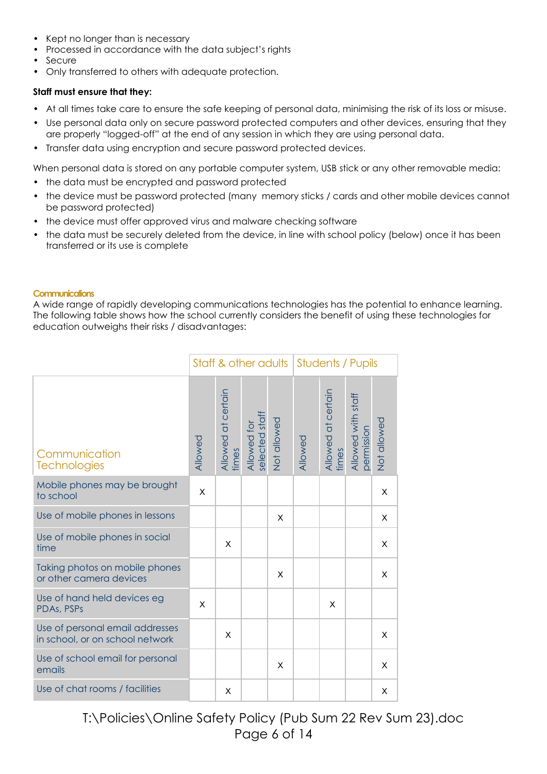- Kept no longer than is necessary
- Processed in accordance with the data subject's rights
- Secure
- Only transferred to others with adequate protection.

#### **Staff must ensure that they:**

- At all times take care to ensure the safe keeping of personal data, minimising the risk of its loss or misuse.
- Use personal data only on secure password protected computers and other devices, ensuring that they are properly "logged-off" at the end of any session in which they are using personal data.
- Transfer data using encryption and secure password protected devices.

When personal data is stored on any portable computer system, USB stick or any other removable media:

- **•** the data must be encrypted and password protected
- **•** the device must be password protected (many memory sticks / cards and other mobile devices cannot be password protected)
- **•** the device must offer approved virus and malware checking software
- **•** the data must be securely deleted from the device, in line with school policy (below) once it has been transferred or its use is complete

#### **Communications**

A wide range of rapidly developing communications technologies has the potential to enhance learning. The following table shows how the school currently considers the benefit of using these technologies for education outweighs their risks / disadvantages:

|                                                                    |         | Staff & other adults        |                               |             | Students / Pupils |                             |                                  |             |
|--------------------------------------------------------------------|---------|-----------------------------|-------------------------------|-------------|-------------------|-----------------------------|----------------------------------|-------------|
| Communication<br><b>Technologies</b>                               | Allowed | Allowed at certain<br>times | Allowed for<br>selected staff | Not allowed | Allowed           | Allowed at certain<br>times | Allowed with staff<br>permission | Not allowed |
| Mobile phones may be brought<br>to school                          | X       |                             |                               |             |                   |                             |                                  | X           |
| Use of mobile phones in lessons                                    |         |                             |                               | X           |                   |                             |                                  | X           |
| Use of mobile phones in social<br>time                             |         | X                           |                               |             |                   |                             |                                  | X           |
| Taking photos on mobile phones<br>or other camera devices          |         |                             |                               | X           |                   |                             |                                  | X           |
| Use of hand held devices eg<br>PDAs, PSPs                          | X       |                             |                               |             |                   | X                           |                                  |             |
| Use of personal email addresses<br>in school, or on school network |         | X                           |                               |             |                   |                             |                                  | X           |
| Use of school email for personal<br>emails                         |         |                             |                               | X           |                   |                             |                                  | X           |
| Use of chat rooms / facilities                                     |         | X                           |                               |             |                   |                             |                                  | X           |

T:\Policies\Online Safety Policy (Pub Sum 22 Rev Sum 23).doc Page 6 of 14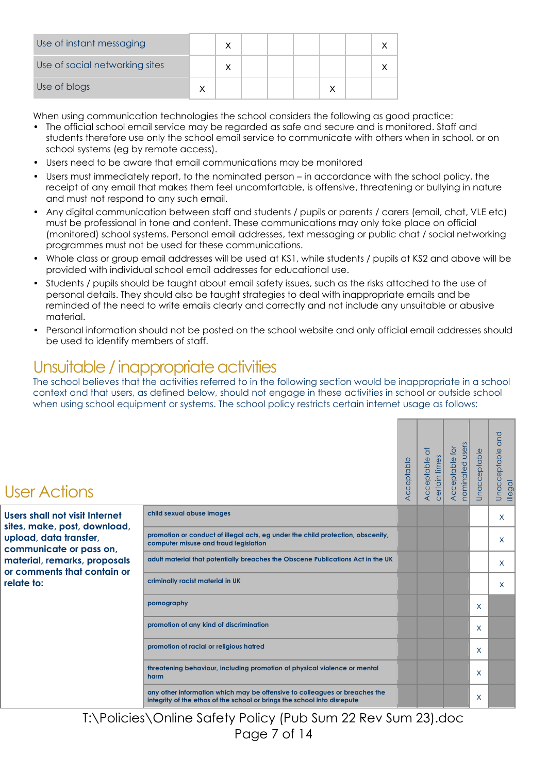| Use of instant messaging       |  |  |  |  |
|--------------------------------|--|--|--|--|
| Use of social networking sites |  |  |  |  |
| Use of blogs                   |  |  |  |  |

When using communication technologies the school considers the following as good practice:

- The official school email service may be regarded as safe and secure and is monitored. Staff and students therefore use only the school email service to communicate with others when in school, or on school systems (eg by remote access).
- Users need to be aware that email communications may be monitored
- Users must immediately report, to the nominated person in accordance with the school policy, the receipt of any email that makes them feel uncomfortable, is offensive, threatening or bullying in nature and must not respond to any such email.
- Any digital communication between staff and students / pupils or parents / carers (email, chat, VLE etc) must be professional in tone and content. These communications may only take place on official (monitored) school systems. Personal email addresses, text messaging or public chat / social networking programmes must not be used for these communications.
- Whole class or group email addresses will be used at KS1, while students / pupils at KS2 and above will be provided with individual school email addresses for educational use.
- Students / pupils should be taught about email safety issues, such as the risks attached to the use of personal details. They should also be taught strategies to deal with inappropriate emails and be reminded of the need to write emails clearly and correctly and not include any unsuitable or abusive material.
- Personal information should not be posted on the school website and only official email addresses should be used to identify members of staff.

## Unsuitable / inappropriate activities

The school believes that the activities referred to in the following section would be inappropriate in a school context and that users, as defined below, should not engage in these activities in school or outside school when using school equipment or systems. The school policy restricts certain internet usage as follows:

| <b>User Actions</b>                                            |                                                                                                                                                        | Acceptable | $\overline{\sigma}$<br>certain times<br>Acceptable | nominated users<br><b>Acceptable for</b> | Unacceptable | and<br>Unacceptable<br>illegal |
|----------------------------------------------------------------|--------------------------------------------------------------------------------------------------------------------------------------------------------|------------|----------------------------------------------------|------------------------------------------|--------------|--------------------------------|
| Users shall not visit Internet<br>sites, make, post, download, | child sexual abuse images                                                                                                                              |            |                                                    |                                          |              | X                              |
| upload, data transfer,<br>communicate or pass on,              | promotion or conduct of illegal acts, eg under the child protection, obscenity,<br>computer misuse and fraud legislation                               |            |                                                    |                                          |              | X.                             |
| material, remarks, proposals<br>or comments that contain or    | adult material that potentially breaches the Obscene Publications Act in the UK                                                                        |            |                                                    |                                          |              | X                              |
| relate to:                                                     | criminally racist material in UK                                                                                                                       |            |                                                    |                                          |              | X.                             |
|                                                                | pornography                                                                                                                                            |            |                                                    |                                          | X            |                                |
|                                                                | promotion of any kind of discrimination                                                                                                                |            |                                                    |                                          | X            |                                |
|                                                                | promotion of racial or religious hatred                                                                                                                |            |                                                    |                                          | X            |                                |
|                                                                | threatening behaviour, including promotion of physical violence or mental<br>harm                                                                      |            |                                                    |                                          | X            |                                |
|                                                                | any other information which may be offensive to colleagues or breaches the<br>integrity of the ethos of the school or brings the school into disrepute |            |                                                    |                                          | X            |                                |

T:\Policies\Online Safety Policy (Pub Sum 22 Rev Sum 23).doc Page 7 of 14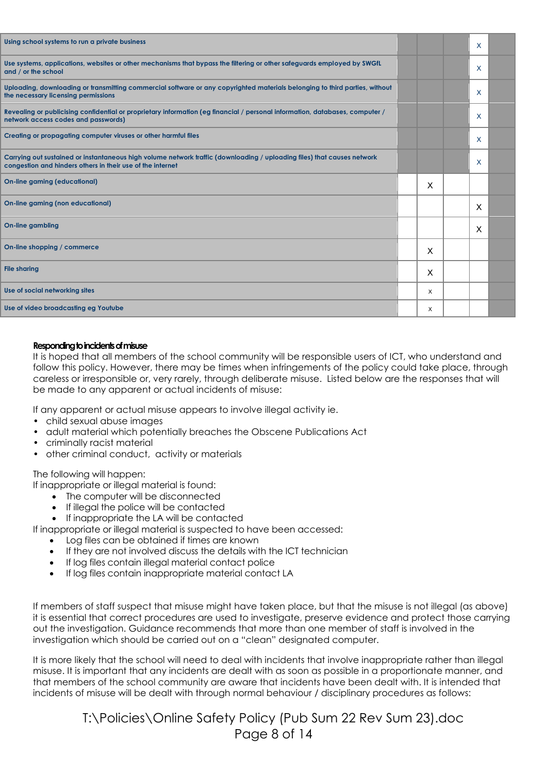| Using school systems to run a private business                                                                                                                                        |   | X |  |
|---------------------------------------------------------------------------------------------------------------------------------------------------------------------------------------|---|---|--|
| Use systems, applications, websites or other mechanisms that bypass the filtering or other safeguards employed by SWGfL<br>and / or the school                                        |   | X |  |
| Uploading, downloading or transmitting commercial software or any copyrighted materials belonging to third parties, without<br>the necessary licensing permissions                    |   | X |  |
| Revealing or publicising confidential or proprietary information (eg financial / personal information, databases, computer /<br>network access codes and passwords)                   |   | X |  |
| Creating or propagating computer viruses or other harmful files                                                                                                                       |   | X |  |
| Carrying out sustained or instantaneous high volume network traffic (downloading / uploading files) that causes network<br>congestion and hinders others in their use of the internet |   | X |  |
| <b>On-line gaming (educational)</b>                                                                                                                                                   | X |   |  |
| On-line gaming (non educational)                                                                                                                                                      |   | X |  |
| <b>On-line gambling</b>                                                                                                                                                               |   | X |  |
| On-line shopping / commerce                                                                                                                                                           | X |   |  |
| <b>File sharing</b>                                                                                                                                                                   | X |   |  |
| Use of social networking sites                                                                                                                                                        | X |   |  |
| Use of video broadcasting eg Youtube                                                                                                                                                  | X |   |  |

#### **Responding to incidents of misuse**

It is hoped that all members of the school community will be responsible users of ICT, who understand and follow this policy. However, there may be times when infringements of the policy could take place, through careless or irresponsible or, very rarely, through deliberate misuse. Listed below are the responses that will be made to any apparent or actual incidents of misuse:

If any apparent or actual misuse appears to involve illegal activity ie.

- child sexual abuse images
- adult material which potentially breaches the Obscene Publications Act
- criminally racist material
- other criminal conduct, activity or materials

The following will happen:

If inappropriate or illegal material is found:

- The computer will be disconnected
- If illegal the police will be contacted
- If inappropriate the LA will be contacted

If inappropriate or illegal material is suspected to have been accessed:

- Log files can be obtained if times are known
- If they are not involved discuss the details with the ICT technician
- If log files contain illegal material contact police
- If log files contain inappropriate material contact LA

If members of staff suspect that misuse might have taken place, but that the misuse is not illegal (as above) it is essential that correct procedures are used to investigate, preserve evidence and protect those carrying out the investigation. Guidance recommends that more than one member of staff is involved in the investigation which should be carried out on a "clean" designated computer.

It is more likely that the school will need to deal with incidents that involve inappropriate rather than illegal misuse. It is important that any incidents are dealt with as soon as possible in a proportionate manner, and that members of the school community are aware that incidents have been dealt with. It is intended that incidents of misuse will be dealt with through normal behaviour / disciplinary procedures as follows:

> T:\Policies\Online Safety Policy (Pub Sum 22 Rev Sum 23).doc Page 8 of 14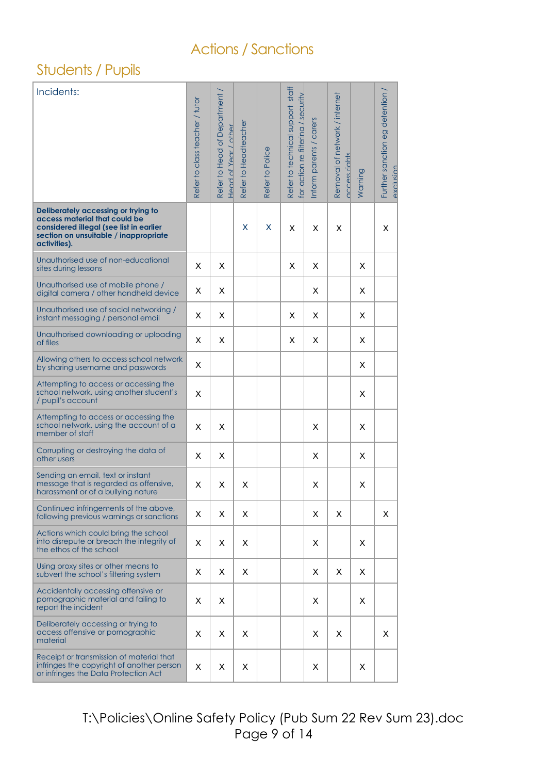### Actions / Sanctions

### Students / Pupils

| Incidents:                                                                                                                                                               | Refer to class teacher / tutor | Refer to Head of Department<br>Head of Year / other | Refer to Headteacher | Refer to Police | Refer to technical support staff<br>for action re filterina / security | inform parents / carers | Removal of network / internet<br>access rights | Warning | Further sanction eg detention /<br>exclusion |
|--------------------------------------------------------------------------------------------------------------------------------------------------------------------------|--------------------------------|-----------------------------------------------------|----------------------|-----------------|------------------------------------------------------------------------|-------------------------|------------------------------------------------|---------|----------------------------------------------|
| Deliberately accessing or trying to<br>access material that could be<br>considered illegal (see list in earlier<br>section on unsuitable / inappropriate<br>activities). |                                |                                                     | X                    | X               | X                                                                      | X                       | X                                              |         | X                                            |
| Unauthorised use of non-educational<br>sites during lessons                                                                                                              | X                              | X                                                   |                      |                 | X                                                                      | X                       |                                                | X       |                                              |
| Unauthorised use of mobile phone /<br>digital camera / other handheld device                                                                                             | X                              | X                                                   |                      |                 |                                                                        | X                       |                                                | X       |                                              |
| Unauthorised use of social networking /<br>instant messaging / personal email                                                                                            | X                              | X                                                   |                      |                 | X                                                                      | X                       |                                                | X       |                                              |
| Unauthorised downloading or uploading<br>of files                                                                                                                        | X                              | X                                                   |                      |                 | X                                                                      | X                       |                                                | X       |                                              |
| Allowing others to access school network<br>by sharing username and passwords                                                                                            | X                              |                                                     |                      |                 |                                                                        |                         |                                                | X       |                                              |
| Attempting to access or accessing the<br>school network, using another student's<br>/ pupil's account                                                                    | X                              |                                                     |                      |                 |                                                                        |                         |                                                | X       |                                              |
| Attempting to access or accessing the<br>school network, using the account of a<br>member of staff                                                                       | X                              | X                                                   |                      |                 |                                                                        | X                       |                                                | X       |                                              |
| Corrupting or destroying the data of<br>other users                                                                                                                      | X                              | X                                                   |                      |                 |                                                                        | X                       |                                                | X       |                                              |
| Sending an email, text or instant<br>message that is regarded as offensive,<br>harassment or of a bullying nature                                                        | X                              | X                                                   | X                    |                 |                                                                        | X                       |                                                | Χ       |                                              |
| Continued infringements of the above,<br>following previous warnings or sanctions                                                                                        | X                              | Χ                                                   | X                    |                 |                                                                        | Χ                       | X                                              |         | X                                            |
| Actions which could bring the school<br>into disrepute or breach the integrity of<br>the ethos of the school                                                             | X                              | X                                                   | X                    |                 |                                                                        | X                       |                                                | X       |                                              |
| Using proxy sites or other means to<br>subvert the school's filtering system                                                                                             | X                              | X                                                   | X                    |                 |                                                                        | X                       | X                                              | X       |                                              |
| Accidentally accessing offensive or<br>pornographic material and failing to<br>report the incident                                                                       | X                              | X                                                   |                      |                 |                                                                        | Х                       |                                                | Χ       |                                              |
| Deliberately accessing or trying to<br>access offensive or pornographic<br>material                                                                                      | X                              | Χ                                                   | X                    |                 |                                                                        | Х                       | Χ                                              |         | X                                            |
| Receipt or transmission of material that<br>infringes the copyright of another person<br>or infringes the Data Protection Act                                            | Χ                              | Χ                                                   | Χ                    |                 |                                                                        | Х                       |                                                | Χ       |                                              |

T:\Policies\Online Safety Policy (Pub Sum 22 Rev Sum 23).doc Page 9 of 14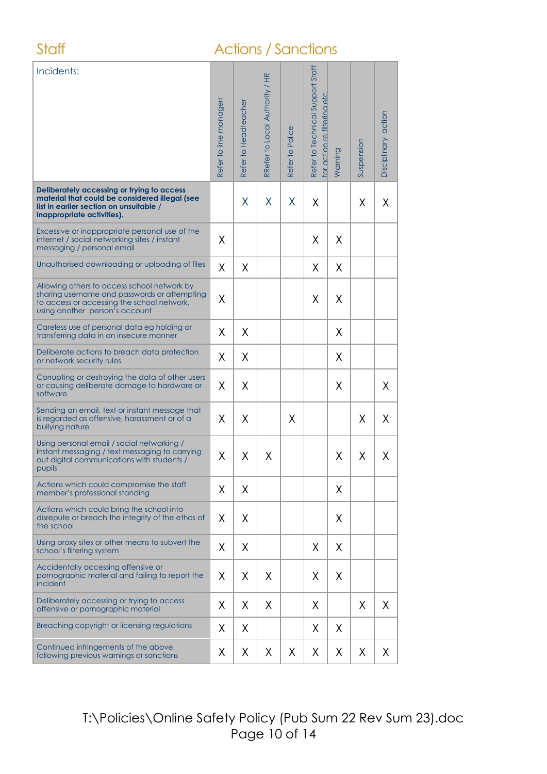### Staff **Actions / Sanctions**

| Incidents:                                                                                                                                                                  | Refer to line managerr | Refer to Headteacher | RRefer to Local Authority / HR | Refer to Police | Refer to Technical Support Staff<br>for action re filterina etc | Warning | Suspension | Disciplinary action |
|-----------------------------------------------------------------------------------------------------------------------------------------------------------------------------|------------------------|----------------------|--------------------------------|-----------------|-----------------------------------------------------------------|---------|------------|---------------------|
| Deliberately accessing or trying to access<br>material that could be considered illegal (see<br>list in earlier section on unsuitable /<br>inappropriate activities).       |                        | X                    | X                              | X               | X                                                               |         | X          | X                   |
| Excessive or inappropriate personal use of the<br>internet / social networking sites / instant<br>messaging / personal email                                                | X                      |                      |                                |                 | X                                                               | X       |            |                     |
| Unauthorised downloading or uploading of files                                                                                                                              | X                      | X                    |                                |                 | X                                                               | X       |            |                     |
| Allowing others to access school network by<br>sharing username and passwords or attempting<br>to access or accessing the school network,<br>using another person's account | χ                      |                      |                                |                 | Χ                                                               | X       |            |                     |
| Careless use of personal data eg holding or<br>transferring data in an insecure manner                                                                                      | Χ                      | X                    |                                |                 |                                                                 | X       |            |                     |
| Deliberate actions to breach data protection<br>or network security rules                                                                                                   | X                      | X                    |                                |                 |                                                                 | X       |            |                     |
| Corrupting or destroying the data of other users<br>or causing deliberate damage to hardware or<br>software                                                                 | X                      | Χ                    |                                |                 |                                                                 | X       |            | X                   |
| Sending an email, text or instant message that<br>is regarded as offensive, harassment or of a<br>bullying nature                                                           | X                      | X                    |                                | X               |                                                                 |         | X          | X                   |
| Using personal email / social networking /<br>instant messaging / text messaging to carrying<br>out digital communications with students /<br>pupils                        | Χ                      | Χ                    | Χ                              |                 |                                                                 | X       | Χ          | X                   |
| Actions which could compromise the staff<br>member's professional standing                                                                                                  | X                      | X                    |                                |                 |                                                                 | X       |            |                     |
| Actions which could bring the school into<br>disrepute or breach the integrity of the ethos of<br>the school                                                                | X                      | Χ                    |                                |                 |                                                                 | X       |            |                     |
| Using proxy sites or other means to subvert the<br>school's filtering system                                                                                                | χ                      | Χ                    |                                |                 | X                                                               | X       |            |                     |
| Accidentally accessing offensive or<br>pornographic material and failing to report the<br>incident                                                                          | X                      | X                    | Χ                              |                 | X                                                               | X       |            |                     |
| Deliberately accessing or trying to access<br>offensive or pornographic material                                                                                            | Χ                      | Χ                    | X                              |                 | Χ                                                               |         | X          | X                   |
| Breaching copyright or licensing regulations                                                                                                                                | χ                      | X                    |                                |                 | Χ                                                               | X       |            |                     |
| Continued infringements of the above,<br>following previous warnings or sanctions                                                                                           | Χ                      | X                    | X                              | X               | X                                                               | X       | X          | X                   |

T:\Policies\Online Safety Policy (Pub Sum 22 Rev Sum 23).doc Page 10 of 14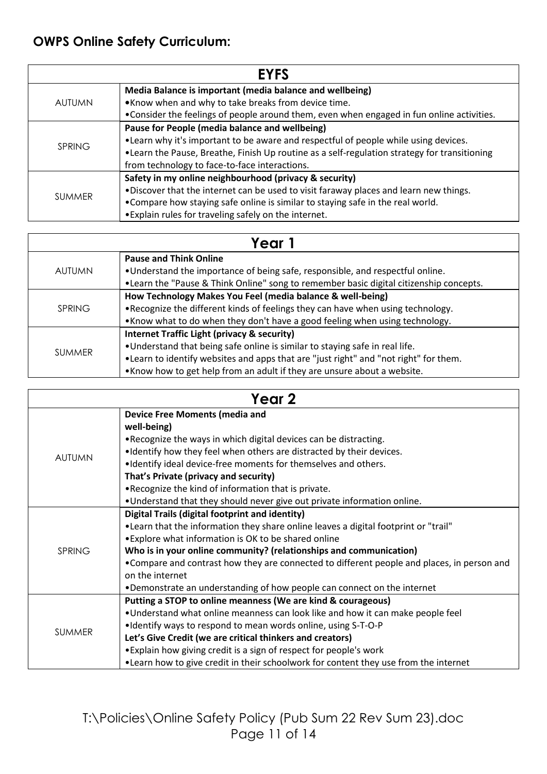### **OWPS Online Safety Curriculum:**

|               | <b>EYFS</b>                                                                                   |
|---------------|-----------------------------------------------------------------------------------------------|
|               | Media Balance is important (media balance and wellbeing)                                      |
| AUTUMN        | .Know when and why to take breaks from device time.                                           |
|               | • Consider the feelings of people around them, even when engaged in fun online activities.    |
|               | Pause for People (media balance and wellbeing)                                                |
| <b>SPRING</b> | • Learn why it's important to be aware and respectful of people while using devices.          |
|               | • Learn the Pause, Breathe, Finish Up routine as a self-regulation strategy for transitioning |
|               | from technology to face-to-face interactions.                                                 |
|               | Safety in my online neighbourhood (privacy & security)                                        |
| <b>SUMMER</b> | .Discover that the internet can be used to visit faraway places and learn new things.         |
|               | • Compare how staying safe online is similar to staying safe in the real world.               |
|               | • Explain rules for traveling safely on the internet.                                         |

|               | Year 1                                                                                                                                                                                                                                                                                                      |
|---------------|-------------------------------------------------------------------------------------------------------------------------------------------------------------------------------------------------------------------------------------------------------------------------------------------------------------|
| AUTUMN        | <b>Pause and Think Online</b><br>. Understand the importance of being safe, responsible, and respectful online.<br>• Learn the "Pause & Think Online" song to remember basic digital citizenship concepts.                                                                                                  |
| SPRING        | How Technology Makes You Feel (media balance & well-being)<br>. Recognize the different kinds of feelings they can have when using technology.<br>. Know what to do when they don't have a good feeling when using technology.                                                                              |
| <b>SUMMER</b> | <b>Internet Traffic Light (privacy &amp; security)</b><br>. Understand that being safe online is similar to staying safe in real life.<br>• Learn to identify websites and apps that are "just right" and "not right" for them.<br>. Know how to get help from an adult if they are unsure about a website. |

| Year 2        |                                                                                             |  |  |  |  |  |
|---------------|---------------------------------------------------------------------------------------------|--|--|--|--|--|
|               | <b>Device Free Moments (media and</b>                                                       |  |  |  |  |  |
|               | well-being)                                                                                 |  |  |  |  |  |
|               | . Recognize the ways in which digital devices can be distracting.                           |  |  |  |  |  |
| <b>AUTUMN</b> | . Identify how they feel when others are distracted by their devices.                       |  |  |  |  |  |
|               | . Identify ideal device-free moments for themselves and others.                             |  |  |  |  |  |
|               | That's Private (privacy and security)                                                       |  |  |  |  |  |
|               | . Recognize the kind of information that is private.                                        |  |  |  |  |  |
|               | . Understand that they should never give out private information online.                    |  |  |  |  |  |
|               | Digital Trails (digital footprint and identity)                                             |  |  |  |  |  |
|               | • Learn that the information they share online leaves a digital footprint or "trail"        |  |  |  |  |  |
|               | • Explore what information is OK to be shared online                                        |  |  |  |  |  |
| <b>SPRING</b> | Who is in your online community? (relationships and communication)                          |  |  |  |  |  |
|               | • Compare and contrast how they are connected to different people and places, in person and |  |  |  |  |  |
|               | on the internet                                                                             |  |  |  |  |  |
|               | •Demonstrate an understanding of how people can connect on the internet                     |  |  |  |  |  |
|               | Putting a STOP to online meanness (We are kind & courageous)                                |  |  |  |  |  |
|               | •Understand what online meanness can look like and how it can make people feel              |  |  |  |  |  |
|               | •Identify ways to respond to mean words online, using S-T-O-P                               |  |  |  |  |  |
| <b>SUMMER</b> | Let's Give Credit (we are critical thinkers and creators)                                   |  |  |  |  |  |
|               | • Explain how giving credit is a sign of respect for people's work                          |  |  |  |  |  |
|               | • Learn how to give credit in their schoolwork for content they use from the internet       |  |  |  |  |  |

T:\Policies\Online Safety Policy (Pub Sum 22 Rev Sum 23).doc Page 11 of 14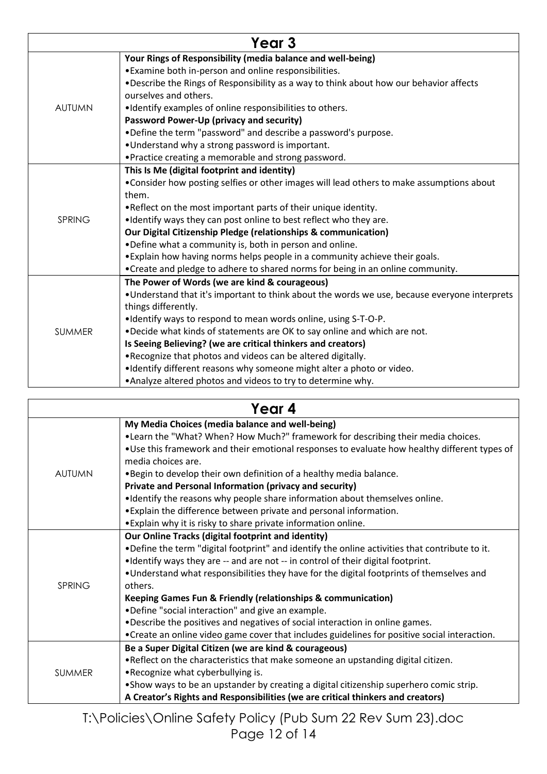| Year 3        |                                                                                               |  |
|---------------|-----------------------------------------------------------------------------------------------|--|
|               | Your Rings of Responsibility (media balance and well-being)                                   |  |
|               | • Examine both in-person and online responsibilities.                                         |  |
|               | . Describe the Rings of Responsibility as a way to think about how our behavior affects       |  |
|               | ourselves and others.                                                                         |  |
| <b>AUTUMN</b> | . Identify examples of online responsibilities to others.                                     |  |
|               | Password Power-Up (privacy and security)                                                      |  |
|               | .Define the term "password" and describe a password's purpose.                                |  |
|               | . Understand why a strong password is important.                                              |  |
|               | • Practice creating a memorable and strong password.                                          |  |
|               | This Is Me (digital footprint and identity)                                                   |  |
|               | •Consider how posting selfies or other images will lead others to make assumptions about      |  |
|               | them.                                                                                         |  |
| <b>SPRING</b> | . Reflect on the most important parts of their unique identity.                               |  |
|               | •Identify ways they can post online to best reflect who they are.                             |  |
|               | Our Digital Citizenship Pledge (relationships & communication)                                |  |
|               | .Define what a community is, both in person and online.                                       |  |
|               | . Explain how having norms helps people in a community achieve their goals.                   |  |
|               | • Create and pledge to adhere to shared norms for being in an online community.               |  |
|               | The Power of Words (we are kind & courageous)                                                 |  |
|               | . Understand that it's important to think about the words we use, because everyone interprets |  |
|               | things differently.                                                                           |  |
|               | •Identify ways to respond to mean words online, using S-T-O-P.                                |  |
| <b>SUMMER</b> | .Decide what kinds of statements are OK to say online and which are not.                      |  |
|               | Is Seeing Believing? (we are critical thinkers and creators)                                  |  |
|               | .Recognize that photos and videos can be altered digitally.                                   |  |
|               | .Identify different reasons why someone might alter a photo or video.                         |  |
|               | .Analyze altered photos and videos to try to determine why.                                   |  |

| Year 4        |                                                                                                 |  |
|---------------|-------------------------------------------------------------------------------------------------|--|
|               | My Media Choices (media balance and well-being)                                                 |  |
| <b>AUTUMN</b> | . Learn the "What? When? How Much?" framework for describing their media choices.               |  |
|               | . Use this framework and their emotional responses to evaluate how healthy different types of   |  |
|               | media choices are.                                                                              |  |
|               | . Begin to develop their own definition of a healthy media balance.                             |  |
|               | Private and Personal Information (privacy and security)                                         |  |
|               | •Identify the reasons why people share information about themselves online.                     |  |
|               | . Explain the difference between private and personal information.                              |  |
|               | • Explain why it is risky to share private information online.                                  |  |
|               | Our Online Tracks (digital footprint and identity)                                              |  |
|               | . Define the term "digital footprint" and identify the online activities that contribute to it. |  |
|               | •Identify ways they are -- and are not -- in control of their digital footprint.                |  |
|               | . Understand what responsibilities they have for the digital footprints of themselves and       |  |
| SPRING        | others.                                                                                         |  |
|               | Keeping Games Fun & Friendly (relationships & communication)                                    |  |
|               | .Define "social interaction" and give an example.                                               |  |
|               | .Describe the positives and negatives of social interaction in online games.                    |  |
|               | • Create an online video game cover that includes guidelines for positive social interaction.   |  |
| <b>SUMMER</b> | Be a Super Digital Citizen (we are kind & courageous)                                           |  |
|               | . Reflect on the characteristics that make someone an upstanding digital citizen.               |  |
|               | .Recognize what cyberbullying is.                                                               |  |
|               | • Show ways to be an upstander by creating a digital citizenship superhero comic strip.         |  |
|               | A Creator's Rights and Responsibilities (we are critical thinkers and creators)                 |  |

T:\Policies\Online Safety Policy (Pub Sum 22 Rev Sum 23).doc Page 12 of 14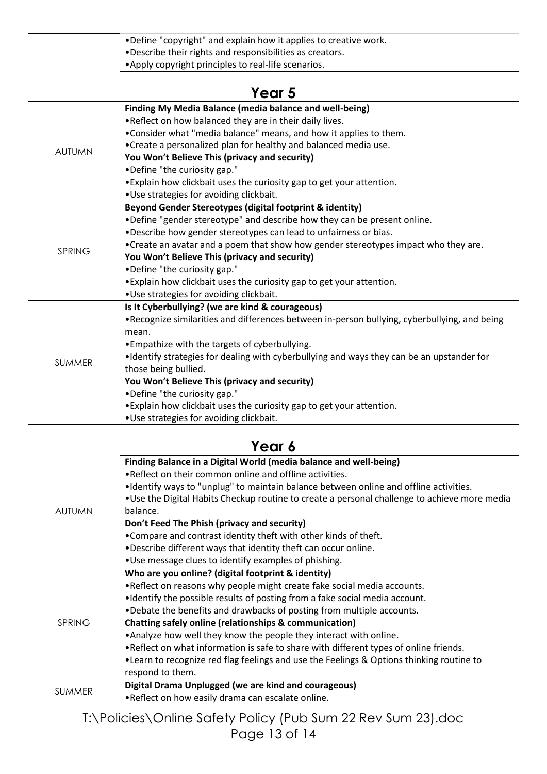| • Define "copyright" and explain how it applies to creative work.<br>. Describe their rights and responsibilities as creators. |
|--------------------------------------------------------------------------------------------------------------------------------|
| • Apply copyright principles to real-life scenarios.                                                                           |

| Year 5        |                                                                                               |  |
|---------------|-----------------------------------------------------------------------------------------------|--|
|               | Finding My Media Balance (media balance and well-being)                                       |  |
|               | .Reflect on how balanced they are in their daily lives.                                       |  |
|               | . Consider what "media balance" means, and how it applies to them.                            |  |
| <b>AUTUMN</b> | •Create a personalized plan for healthy and balanced media use.                               |  |
|               | You Won't Believe This (privacy and security)                                                 |  |
|               | •Define "the curiosity gap."                                                                  |  |
|               | • Explain how clickbait uses the curiosity gap to get your attention.                         |  |
|               | .Use strategies for avoiding clickbait.                                                       |  |
|               | Beyond Gender Stereotypes (digital footprint & identity)                                      |  |
|               | .Define "gender stereotype" and describe how they can be present online.                      |  |
|               | .Describe how gender stereotypes can lead to unfairness or bias.                              |  |
| <b>SPRING</b> | • Create an avatar and a poem that show how gender stereotypes impact who they are.           |  |
|               | You Won't Believe This (privacy and security)                                                 |  |
|               | •Define "the curiosity gap."                                                                  |  |
|               | • Explain how clickbait uses the curiosity gap to get your attention.                         |  |
|               | •Use strategies for avoiding clickbait.                                                       |  |
|               | Is It Cyberbullying? (we are kind & courageous)                                               |  |
|               | . Recognize similarities and differences between in-person bullying, cyberbullying, and being |  |
|               | mean.                                                                                         |  |
|               | • Empathize with the targets of cyberbullying.                                                |  |
| <b>SUMMER</b> | •Identify strategies for dealing with cyberbullying and ways they can be an upstander for     |  |
|               | those being bullied.                                                                          |  |
|               | You Won't Believe This (privacy and security)                                                 |  |
|               | •Define "the curiosity gap."                                                                  |  |
|               | . Explain how clickbait uses the curiosity gap to get your attention.                         |  |
|               | .Use strategies for avoiding clickbait.                                                       |  |

| Year 6        |                                                                                                                                                                                                                                                                                                                                                                                                                                                                                                                                                                                                                                              |  |
|---------------|----------------------------------------------------------------------------------------------------------------------------------------------------------------------------------------------------------------------------------------------------------------------------------------------------------------------------------------------------------------------------------------------------------------------------------------------------------------------------------------------------------------------------------------------------------------------------------------------------------------------------------------------|--|
| <b>AUTUMN</b> | Finding Balance in a Digital World (media balance and well-being)<br>• Reflect on their common online and offline activities.<br>•Identify ways to "unplug" to maintain balance between online and offline activities.<br>. Use the Digital Habits Checkup routine to create a personal challenge to achieve more media<br>balance.<br>Don't Feed The Phish (privacy and security)<br>•Compare and contrast identity theft with other kinds of theft.<br>.Describe different ways that identity theft can occur online.<br>. Use message clues to identify examples of phishing.                                                             |  |
| <b>SPRING</b> | Who are you online? (digital footprint & identity)<br>. Reflect on reasons why people might create fake social media accounts.<br>•Identify the possible results of posting from a fake social media account.<br>.Debate the benefits and drawbacks of posting from multiple accounts.<br><b>Chatting safely online (relationships &amp; communication)</b><br>. Analyze how well they know the people they interact with online.<br>• Reflect on what information is safe to share with different types of online friends.<br>. Learn to recognize red flag feelings and use the Feelings & Options thinking routine to<br>respond to them. |  |
| <b>SUMMER</b> | Digital Drama Unplugged (we are kind and courageous)<br>.Reflect on how easily drama can escalate online.                                                                                                                                                                                                                                                                                                                                                                                                                                                                                                                                    |  |

T:\Policies\Online Safety Policy (Pub Sum 22 Rev Sum 23).doc Page 13 of 14